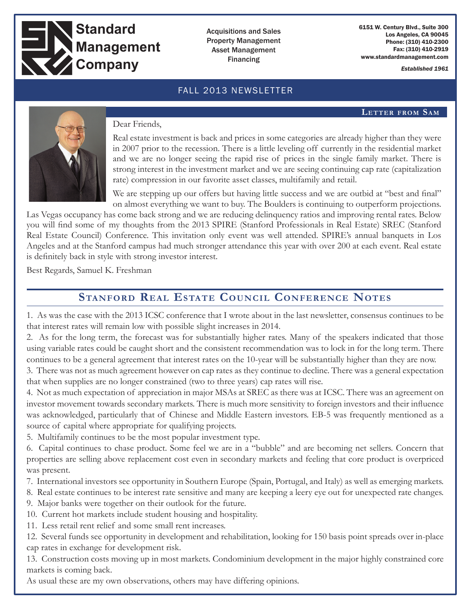

**Standard Management** 

Acquisitions and Sales Property Management Asset Management Financing

6151 W. Century Blvd., Suite 300 Los Angeles, CA 90045 Phone: (310) 410-2300 Fax: (310) 410-2919 www.standardmanagement.com

*Established 1961*

# FALL 2013 NEWSLETTER

#### **Letter from Sam**



#### Dear Friends,

Real estate investment is back and prices in some categories are already higher than they were in 2007 prior to the recession. There is a little leveling off currently in the residential market and we are no longer seeing the rapid rise of prices in the single family market. There is strong interest in the investment market and we are seeing continuing cap rate (capitalization rate) compression in our favorite asset classes, multifamily and retail.

We are stepping up our offers but having little success and we are outbid at "best and final" on almost everything we want to buy. The Boulders is continuing to outperform projections.

Las Vegas occupancy has come back strong and we are reducing delinquency ratios and improving rental rates. Below you will find some of my thoughts from the 2013 SPIRE (Stanford Professionals in Real Estate) SREC (Stanford Real Estate Council) Conference. This invitation only event was well attended. SPIRE's annual banquets in Los Angeles and at the Stanford campus had much stronger attendance this year with over 200 at each event. Real estate is definitely back in style with strong investor interest.

Best Regards, Samuel K. Freshman

# **Stanford Real Estate Council Conference Notes**

1. As was the case with the 2013 ICSC conference that I wrote about in the last newsletter, consensus continues to be that interest rates will remain low with possible slight increases in 2014.

2. As for the long term, the forecast was for substantially higher rates. Many of the speakers indicated that those using variable rates could be caught short and the consistent recommendation was to lock in for the long term. There continues to be a general agreement that interest rates on the 10-year will be substantially higher than they are now.

3. There was not as much agreement however on cap rates as they continue to decline. There was a general expectation that when supplies are no longer constrained (two to three years) cap rates will rise.

4. Not as much expectation of appreciation in major MSAs at SREC as there was at ICSC. There was an agreement on investor movement towards secondary markets. There is much more sensitivity to foreign investors and their influence was acknowledged, particularly that of Chinese and Middle Eastern investors. EB-5 was frequently mentioned as a source of capital where appropriate for qualifying projects.

5. Multifamily continues to be the most popular investment type.

6. Capital continues to chase product. Some feel we are in a "bubble" and are becoming net sellers. Concern that properties are selling above replacement cost even in secondary markets and feeling that core product is overpriced was present.

7. International investors see opportunity in Southern Europe (Spain, Portugal, and Italy) as well as emerging markets.

8. Real estate continues to be interest rate sensitive and many are keeping a leery eye out for unexpected rate changes.

9. Major banks were together on their outlook for the future.

10. Current hot markets include student housing and hospitality.

11. Less retail rent relief and some small rent increases.

12. Several funds see opportunity in development and rehabilitation, looking for 150 basis point spreads over in-place cap rates in exchange for development risk.

13. Construction costs moving up in most markets. Condominium development in the major highly constrained core markets is coming back.

As usual these are my own observations, others may have differing opinions.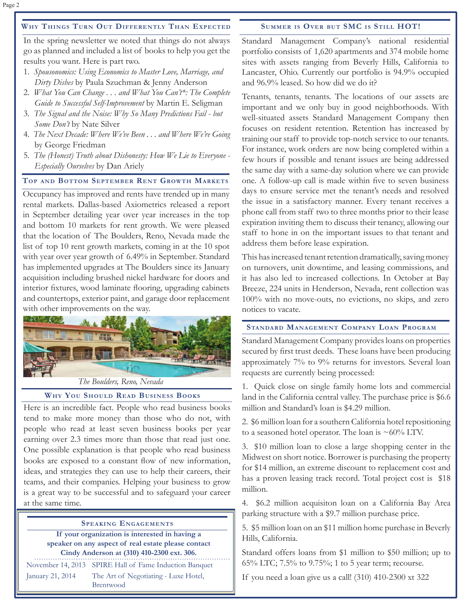#### Page 2

### **Why Things Turn Out Differently Than Expected**

#### **Summer is Over but SMC is Still HOT!**

In the spring newsletter we noted that things do not always go as planned and included a list of books to help you get the results you want. Here is part two.

- 1. *Spousonomics: Using Economics to Master Love, Marriage, and Dirty Dishes* by Paula Szuchman & Jenny Anderson
- 2. *What You Can Change . . . and What You Can't\*: The Complete Guide to Successful Self-Improvement* by Martin E. Seligman
- 3. *The Signal and the Noise: Why So Many Predictions Fail but Some Don't* by Nate Silver
- 4. *The Next Decade: Where We've Been . . . and Where We're Going* by George Friedman
- 5. *The (Honest) Truth about Dishonesty: How We Lie to Everyone - Especially Ourselves* by Dan Ariely

### **Top and Bottom September Rent Growth Markets**

Occupancy has improved and rents have trended up in many rental markets. Dallas-based Axiometrics released a report in September detailing year over year increases in the top and bottom 10 markets for rent growth. We were pleased that the location of The Boulders, Reno, Nevada made the list of top 10 rent growth markets, coming in at the 10 spot with year over year growth of 6.49% in September. Standard has implemented upgrades at The Boulders since its January acquisition including brushed nickel hardware for doors and interior fixtures, wood laminate flooring, upgrading cabinets and countertops, exterior paint, and garage door replacement with other improvements on the way.



*The Boulders, Reno, Nevada*

# **Why You Should Read Business Books**

Here is an incredible fact. People who read business books tend to make more money than those who do not, with people who read at least seven business books per year earning over 2.3 times more than those that read just one. One possible explanation is that people who read business books are exposed to a constant flow of new information, ideas, and strategies they can use to help their careers, their teams, and their companies. Helping your business to grow is a great way to be successful and to safeguard your career at the same time.

#### **Speaking Engagements**

**If your organization is interested in having a speaker on any aspect of real estate please contact Cindy Anderson at (310) 410-2300 ext. 306.** November 14, 2013 SPIRE Hall of Fame Induction Banquet The Art of Negotiating - Luxe Hotel, Brentwood January 21, 2014

Standard Management Company's national residential portfolio consists of 1,620 apartments and 374 mobile home sites with assets ranging from Beverly Hills, California to Lancaster, Ohio. Currently our portfolio is 94.9% occupied and 96.9% leased. So how did we do it?

Tenants, tenants, tenants. The locations of our assets are important and we only buy in good neighborhoods. With well-situated assets Standard Management Company then focuses on resident retention. Retention has increased by training our staff to provide top-notch service to our tenants. For instance, work orders are now being completed within a few hours if possible and tenant issues are being addressed the same day with a same-day solution where we can provide one. A follow-up call is made within five to seven business days to ensure service met the tenant's needs and resolved the issue in a satisfactory manner. Every tenant receives a phone call from staff two to three months prior to their lease expiration inviting them to discuss their tenancy, allowing our staff to hone in on the important issues to that tenant and address them before lease expiration.

This has increased tenant retention dramatically, saving money on turnovers, unit downtime, and leasing commissions, and it has also led to increased collections. In October at Bay Breeze, 224 units in Henderson, Nevada, rent collection was 100% with no move-outs, no evictions, no skips, and zero notices to vacate.

#### **Standard Management Company Loan Program**

Standard Management Company provides loans on properties secured by first trust deeds. These loans have been producing approximately 7% to 9% returns for investors. Several loan requests are currently being processed:

1. Quick close on single family home lots and commercial land in the California central valley. The purchase price is \$6.6 million and Standard's loan is \$4.29 million.

2. \$6 million loan for a southern California hotel repositioning to a seasoned hotel operator. The loan is  $\sim 60\%$  LTV.

3. \$10 million loan to close a large shopping center in the Midwest on short notice. Borrower is purchasing the property for \$14 million, an extreme discount to replacement cost and has a proven leasing track record. Total project cost is \$18 million.

4. \$6.2 million acquisiton loan on a California Bay Area parking structure with a \$9.7 million purchase price.

5. \$5 million loan on an \$11 million home purchase in Beverly Hills, California.

Standard offers loans from \$1 million to \$50 million; up to 65% LTC; 7.5% to 9.75%; 1 to 5 year term; recourse.

If you need a loan give us a call! (310) 410-2300 xt 322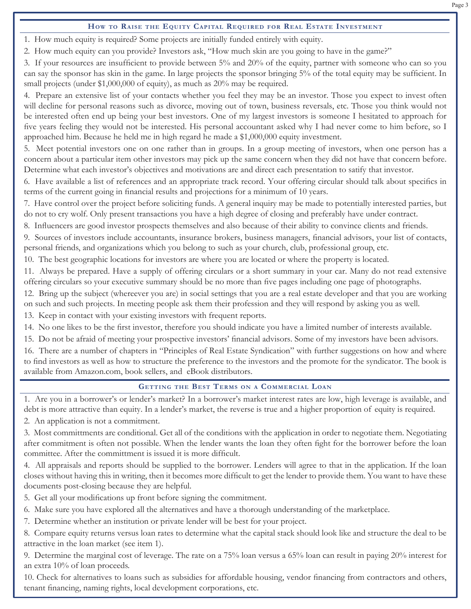# **How to Raise the Equity Capital Required for Real Estate Investment**

1. How much equity is required? Some projects are initially funded entirely with equity.

2. How much equity can you provide? Investors ask, "How much skin are you going to have in the game?"

3. If your resources are insufficient to provide between 5% and 20% of the equity, partner with someone who can so you can say the sponsor has skin in the game. In large projects the sponsor bringing 5% of the total equity may be sufficient. In small projects (under \$1,000,000 of equity), as much as 20% may be required.

4. Prepare an extensive list of your contacts whether you feel they may be an investor. Those you expect to invest often will decline for personal reasons such as divorce, moving out of town, business reversals, etc. Those you think would not be interested often end up being your best investors. One of my largest investors is someone I hesitated to approach for five years feeling they would not be interested. His personal accountant asked why I had never come to him before, so I approached him. Because he held me in high regard he made a \$1,000,000 equity investment.

5. Meet potential investors one on one rather than in groups. In a group meeting of investors, when one person has a concern about a particular item other investors may pick up the same concern when they did not have that concern before. Determine what each investor's objectives and motivations are and direct each presentation to satify that investor.

6. Have available a list of references and an appropriate track record. Your offering circular should talk about specifics in terms of the current going in financial results and projections for a minimum of 10 years.

7. Have control over the project before soliciting funds. A general inquiry may be made to potentially interested parties, but do not to cry wolf. Only present transactions you have a high degree of closing and preferably have under contract.

8. Influencers are good investor prospects themselves and also because of their ability to convince clients and friends.

9. Sources of investors include accountants, insurance brokers, business managers, financial advisors, your list of contacts, personal friends, and organizations which you belong to such as your church, club, professional group, etc.

10. The best geographic locations for investors are where you are located or where the property is located.

11. Always be prepared. Have a supply of offering circulars or a short summary in your car. Many do not read extensive offering circulars so your executive summary should be no more than five pages including one page of photographs.

12. Bring up the subject (whereever you are) in social settings that you are a real estate developer and that you are working on such and such projects. In meeting people ask them their profession and they will respond by asking you as well.

13. Keep in contact with your existing investors with frequent reports.

14. No one likes to be the first investor, therefore you should indicate you have a limited number of interests available.

15. Do not be afraid of meeting your prospective investors' financial advisors. Some of my investors have been advisors.

16. There are a number of chapters in "Principles of Real Estate Syndication" with further suggestions on how and where to find investors as well as how to structure the preference to the investors and the promote for the syndicator. The book is available from Amazon.com, book sellers, and eBook distributors.

# **Getting the Best Terms on a Commercial Loan**

1. Are you in a borrower's or lender's market? In a borrower's market interest rates are low, high leverage is available, and debt is more attractive than equity. In a lender's market, the reverse is true and a higher proportion of equity is required.

2. An application is not a commitment.

3. Most committments are conditional. Get all of the conditions with the application in order to negotiate them. Negotiating after commitment is often not possible. When the lender wants the loan they often fight for the borrower before the loan committee. After the committment is issued it is more difficult.

4. All appraisals and reports should be supplied to the borrower. Lenders will agree to that in the application. If the loan closes without having this in writing, then it becomes more difficult to get the lender to provide them. You want to have these documents post-closing because they are helpful.

5. Get all your modifications up front before signing the commitment.

6. Make sure you have explored all the alternatives and have a thorough understanding of the marketplace.

7. Determine whether an institution or private lender will be best for your project.

8. Compare equity returns versus loan rates to determine what the capital stack should look like and structure the deal to be attractive in the loan market (see item 1).

9. Determine the marginal cost of leverage. The rate on a 75% loan versus a 65% loan can result in paying 20% interest for an extra 10% of loan proceeds.

10. Check for alternatives to loans such as subsidies for affordable housing, vendor financing from contractors and others, tenant financing, naming rights, local development corporations, etc.